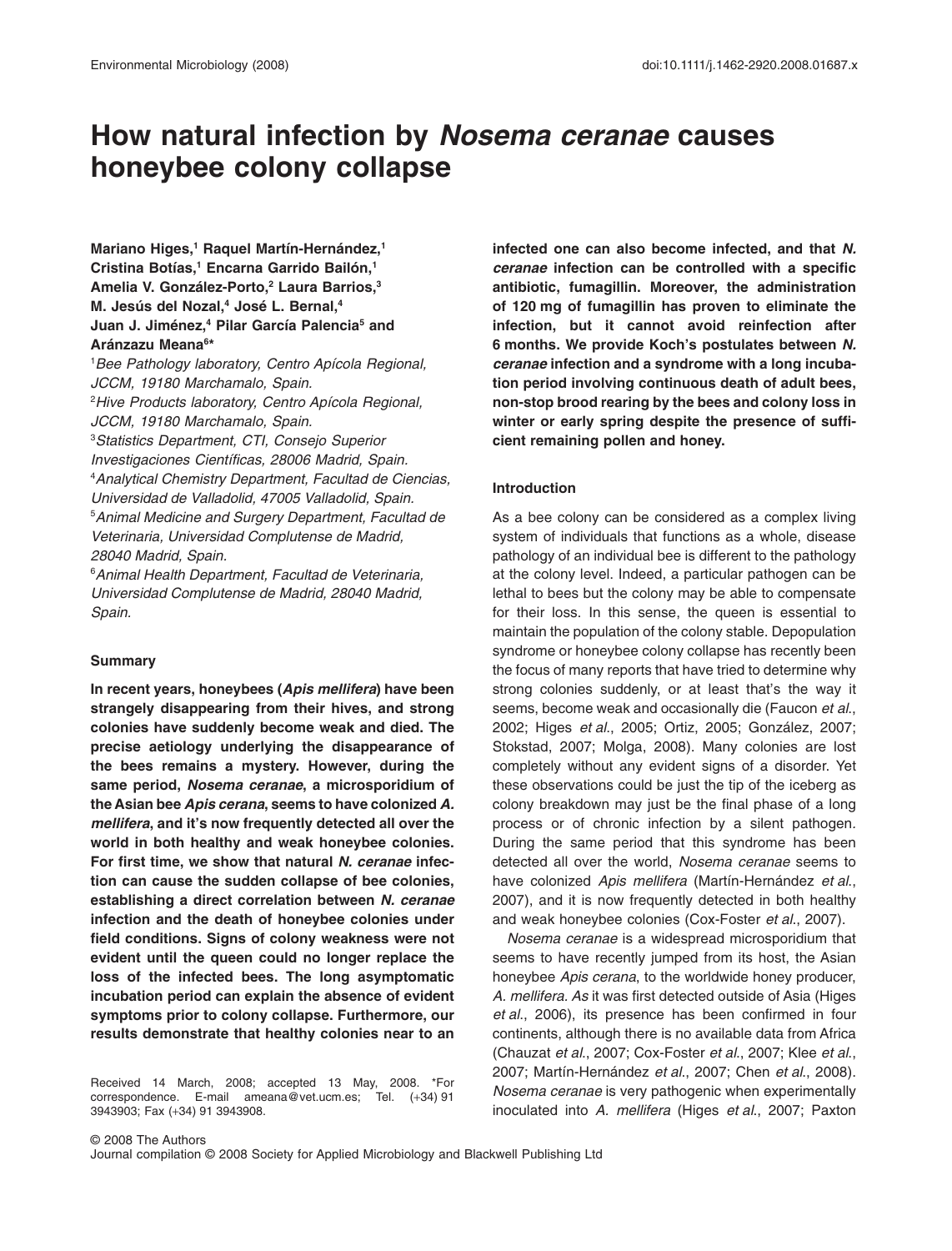# **How natural infection by** *Nosema ceranae* **causes honeybee colony collapse**

**Mariano Higes,1 Raquel Martín-Hernández,1 Cristina Botías,1 Encarna Garrido Bailón,1 Amelia V. González-Porto,2 Laura Barrios,3 M. Jesús del Nozal,4 José L. Bernal,4 Juan J. Jiménez,4 Pilar García Palencia5 and Aránzazu Meana6 \***

1 *Bee Pathology laboratory, Centro Apícola Regional, JCCM, 19180 Marchamalo, Spain.* 2 *Hive Products laboratory, Centro Apícola Regional, JCCM, 19180 Marchamalo, Spain.* 3 *Statistics Department, CTI, Consejo Superior Investigaciones Científicas, 28006 Madrid, Spain.* 4 *Analytical Chemistry Department, Facultad de Ciencias, Universidad de Valladolid, 47005 Valladolid, Spain.* 5 *Animal Medicine and Surgery Department, Facultad de Veterinaria, Universidad Complutense de Madrid, 28040 Madrid, Spain.*

6 *Animal Health Department, Facultad de Veterinaria, Universidad Complutense de Madrid, 28040 Madrid, Spain.*

# **Summary**

**In recent years, honeybees (***Apis mellifera***) have been strangely disappearing from their hives, and strong colonies have suddenly become weak and died. The precise aetiology underlying the disappearance of the bees remains a mystery. However, during the same period,** *Nosema ceranae***, a microsporidium of the Asian bee** *Apis cerana***, seems to have colonized** *A. mellifera***, and it's now frequently detected all over the world in both healthy and weak honeybee colonies. For first time, we show that natural** *N. ceranae* **infection can cause the sudden collapse of bee colonies, establishing a direct correlation between** *N. ceranae* **infection and the death of honeybee colonies under field conditions. Signs of colony weakness were not evident until the queen could no longer replace the loss of the infected bees. The long asymptomatic incubation period can explain the absence of evident symptoms prior to colony collapse. Furthermore, our results demonstrate that healthy colonies near to an**

Received 14 March, 2008; accepted 13 May, 2008. \*For correspondence. E-mail [ameana@vet.ucm.es;](mailto:ameana@vet.ucm.es) Tel. (+34) 91 3943903; Fax (+34) 91 3943908.

**infected one can also become infected, and that** *N. ceranae* **infection can be controlled with a specific antibiotic, fumagillin. Moreover, the administration of 120 mg of fumagillin has proven to eliminate the infection, but it cannot avoid reinfection after 6 months. We provide Koch's postulates between** *N. ceranae* **infection and a syndrome with a long incubation period involving continuous death of adult bees, non-stop brood rearing by the bees and colony loss in winter or early spring despite the presence of sufficient remaining pollen and honey.**

# **Introduction**

As a bee colony can be considered as a complex living system of individuals that functions as a whole, disease pathology of an individual bee is different to the pathology at the colony level. Indeed, a particular pathogen can be lethal to bees but the colony may be able to compensate for their loss. In this sense, the queen is essential to maintain the population of the colony stable. Depopulation syndrome or honeybee colony collapse has recently been the focus of many reports that have tried to determine why strong colonies suddenly, or at least that's the way it seems, become weak and occasionally die (Faucon *et al*., 2002; Higes *et al*., 2005; Ortiz, 2005; González, 2007; Stokstad, 2007; Molga, 2008). Many colonies are lost completely without any evident signs of a disorder. Yet these observations could be just the tip of the iceberg as colony breakdown may just be the final phase of a long process or of chronic infection by a silent pathogen*.* During the same period that this syndrome has been detected all over the world, *Nosema ceranae* seems to have colonized *Apis mellifera* (Martín-Hernández *et al*., 2007), and it is now frequently detected in both healthy and weak honeybee colonies (Cox-Foster *et al*., 2007).

*Nosema ceranae* is a widespread microsporidium that seems to have recently jumped from its host, the Asian honeybee *Apis cerana*, to the worldwide honey producer, *A. mellifera. As* it was first detected outside of Asia (Higes *et al*., 2006), its presence has been confirmed in four continents, although there is no available data from Africa (Chauzat *et al*., 2007; Cox-Foster *et al*., 2007; Klee *et al*., 2007; Martín-Hernández *et al*., 2007; Chen *et al*., 2008). *Nosema ceranae* is very pathogenic when experimentally inoculated into *A. mellifera* (Higes *et al*., 2007; Paxton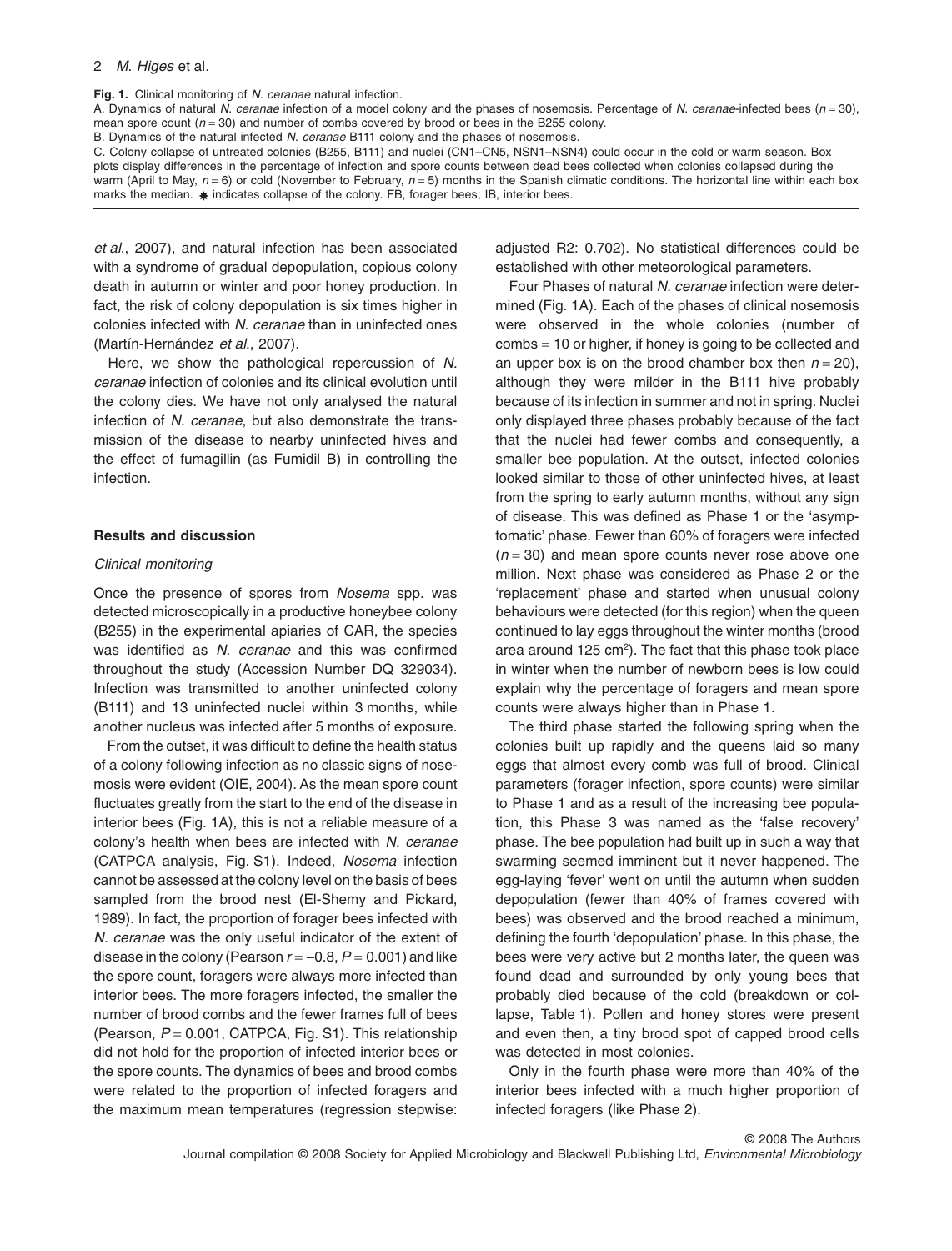**Fig. 1.** Clinical monitoring of *N. ceranae* natural infection.

A. Dynamics of natural *N. ceranae* infection of a model colony and the phases of nosemosis. Percentage of *N. ceranae*-infected bees (*n* = 30), mean spore count  $(n = 30)$  and number of combs covered by brood or bees in the B255 colony.

B. Dynamics of the natural infected *N. ceranae* B111 colony and the phases of nosemosis.

C. Colony collapse of untreated colonies (B255, B111) and nuclei (CN1–CN5, NSN1–NSN4) could occur in the cold or warm season. Box plots display differences in the percentage of infection and spore counts between dead bees collected when colonies collapsed during the warm (April to May,  $n = 6$ ) or cold (November to February,  $n = 5$ ) months in the Spanish climatic conditions. The horizontal line within each box marks the median.  $\ast$  indicates collapse of the colony. FB, forager bees; IB, interior bees.

*et al*., 2007), and natural infection has been associated with a syndrome of gradual depopulation, copious colony death in autumn or winter and poor honey production. In fact, the risk of colony depopulation is six times higher in colonies infected with *N. ceranae* than in uninfected ones (Martín-Hernández *et al*., 2007).

Here, we show the pathological repercussion of *N. ceranae* infection of colonies and its clinical evolution until the colony dies. We have not only analysed the natural infection of *N. ceranae*, but also demonstrate the transmission of the disease to nearby uninfected hives and the effect of fumagillin (as Fumidil B) in controlling the infection.

# **Results and discussion**

## *Clinical monitoring*

Once the presence of spores from *Nosema* spp. was detected microscopically in a productive honeybee colony (B255) in the experimental apiaries of CAR, the species was identified as *N. ceranae* and this was confirmed throughout the study (Accession Number DQ 329034). Infection was transmitted to another uninfected colony (B111) and 13 uninfected nuclei within 3 months, while another nucleus was infected after 5 months of exposure.

From the outset, it was difficult to define the health status of a colony following infection as no classic signs of nosemosis were evident (OIE, 2004). As the mean spore count fluctuates greatly from the start to the end of the disease in interior bees (Fig. 1A), this is not a reliable measure of a colony's health when bees are infected with *N. ceranae* (CATPCA analysis, Fig. S1). Indeed, *Nosema* infection cannot be assessed at the colony level on the basis of bees sampled from the brood nest (El-Shemy and Pickard, 1989). In fact, the proportion of forager bees infected with *N. ceranae* was the only useful indicator of the extent of disease in the colony (Pearson  $r = -0.8$ ,  $P = 0.001$ ) and like the spore count, foragers were always more infected than interior bees. The more foragers infected, the smaller the number of brood combs and the fewer frames full of bees (Pearson, *P* = 0.001, CATPCA, Fig. S1). This relationship did not hold for the proportion of infected interior bees or the spore counts. The dynamics of bees and brood combs were related to the proportion of infected foragers and the maximum mean temperatures (regression stepwise: adjusted R2: 0.702). No statistical differences could be established with other meteorological parameters.

Four Phases of natural *N. ceranae* infection were determined (Fig. 1A). Each of the phases of clinical nosemosis were observed in the whole colonies (number of combs = 10 or higher, if honey is going to be collected and an upper box is on the brood chamber box then  $n = 20$ ), although they were milder in the B111 hive probably because of its infection in summer and not in spring. Nuclei only displayed three phases probably because of the fact that the nuclei had fewer combs and consequently, a smaller bee population. At the outset, infected colonies looked similar to those of other uninfected hives, at least from the spring to early autumn months, without any sign of disease. This was defined as Phase 1 or the 'asymptomatic' phase. Fewer than 60% of foragers were infected (*n* = 30) and mean spore counts never rose above one million. Next phase was considered as Phase 2 or the 'replacement' phase and started when unusual colony behaviours were detected (for this region) when the queen continued to lay eggs throughout the winter months (brood area around 125 cm<sup>2</sup>). The fact that this phase took place in winter when the number of newborn bees is low could explain why the percentage of foragers and mean spore counts were always higher than in Phase 1.

The third phase started the following spring when the colonies built up rapidly and the queens laid so many eggs that almost every comb was full of brood. Clinical parameters (forager infection, spore counts) were similar to Phase 1 and as a result of the increasing bee population, this Phase 3 was named as the 'false recovery' phase. The bee population had built up in such a way that swarming seemed imminent but it never happened. The egg-laying 'fever' went on until the autumn when sudden depopulation (fewer than 40% of frames covered with bees) was observed and the brood reached a minimum, defining the fourth 'depopulation' phase. In this phase, the bees were very active but 2 months later, the queen was found dead and surrounded by only young bees that probably died because of the cold (breakdown or collapse, Table 1). Pollen and honey stores were present and even then, a tiny brood spot of capped brood cells was detected in most colonies.

Only in the fourth phase were more than 40% of the interior bees infected with a much higher proportion of infected foragers (like Phase 2).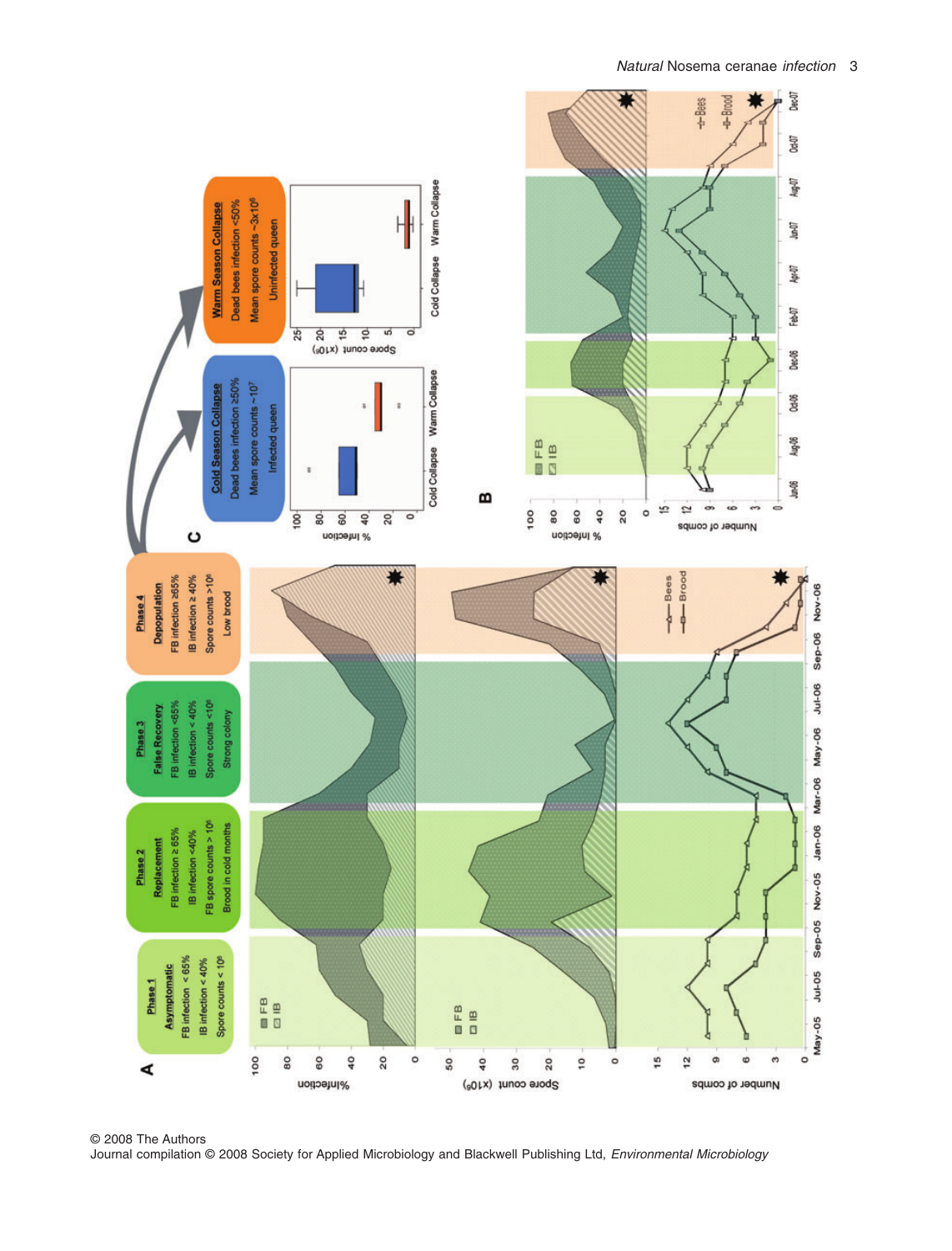

© 2008 The Authors Journal compilation © 2008 Society for Applied Microbiology and Blackwell Publishing Ltd, *Environmental Microbiology*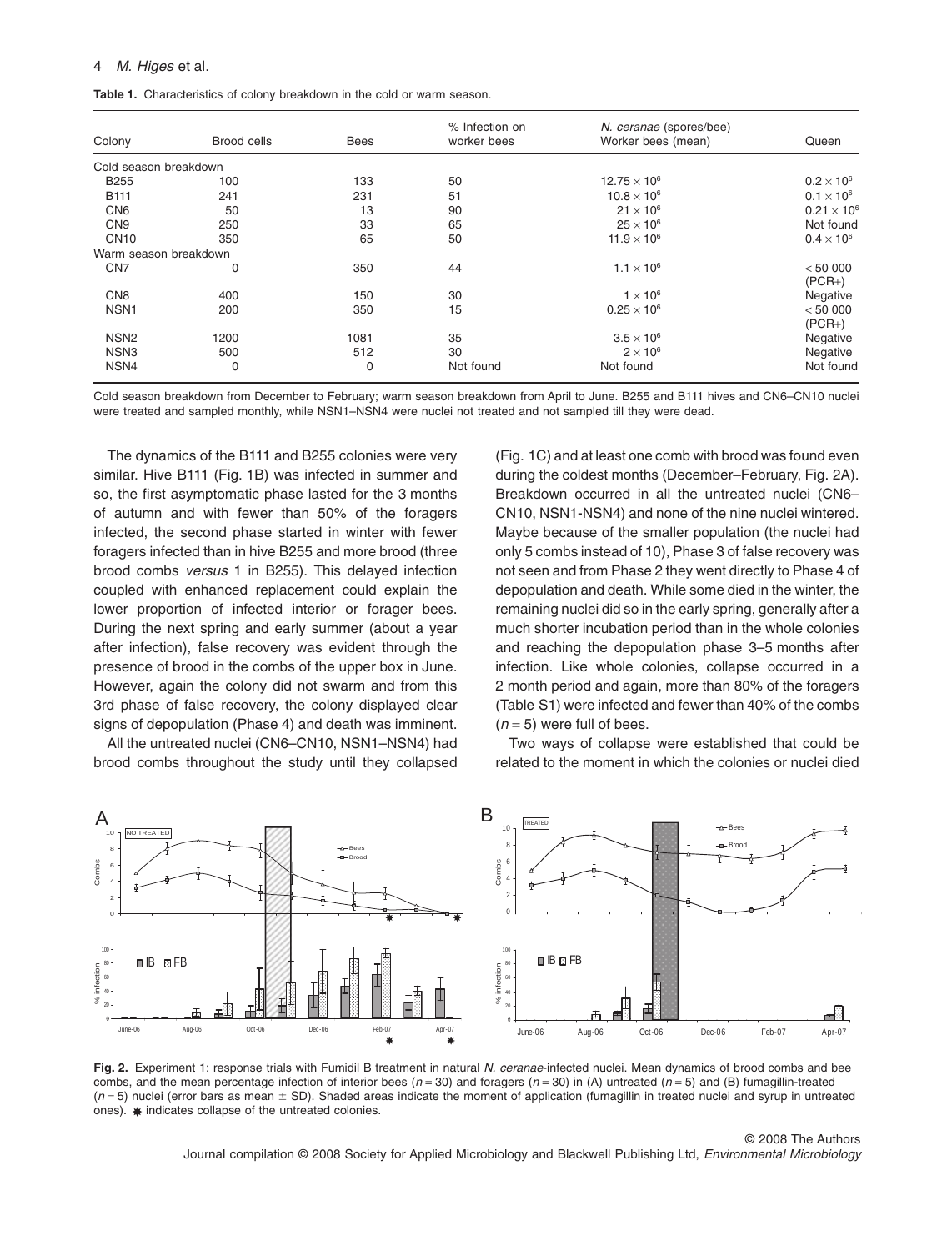## 4 *M. Higes* et al.

| Colony                | Brood cells | Bees | % Infection on<br>worker bees | N. ceranae (spores/bee)<br>Worker bees (mean) | Queen                |
|-----------------------|-------------|------|-------------------------------|-----------------------------------------------|----------------------|
| Cold season breakdown |             |      |                               |                                               |                      |
| <b>B255</b>           | 100         | 133  | 50                            | $12.75 \times 10^{6}$                         | $0.2 \times 10^{6}$  |
| <b>B111</b>           | 241         | 231  | 51                            | $10.8 \times 10^{6}$                          | $0.1 \times 10^{6}$  |
| CN <sub>6</sub>       | 50          | 13   | 90                            | $21 \times 10^6$                              | $0.21 \times 10^{6}$ |
| CN <sub>9</sub>       | 250         | 33   | 65                            | $25 \times 10^6$                              | Not found            |
| <b>CN10</b>           | 350         | 65   | 50                            | $11.9 \times 10^{6}$                          | $0.4 \times 10^{6}$  |
| Warm season breakdown |             |      |                               |                                               |                      |
| CN <sub>7</sub>       | 0           | 350  | 44                            | $1.1 \times 10^{6}$                           | < 50000<br>$(PCR+)$  |
| CN <sub>8</sub>       | 400         | 150  | 30                            | $1 \times 10^6$                               | Negative             |
| NSN <sub>1</sub>      | 200         | 350  | 15                            | $0.25 \times 10^{6}$                          | < 50000<br>$(PCR+)$  |
| NSN <sub>2</sub>      | 1200        | 1081 | 35                            | $3.5 \times 10^6$                             | Negative             |
| NSN <sub>3</sub>      | 500         | 512  | 30                            | $2 \times 10^6$                               | Negative             |
| NSN4                  | 0           | 0    | Not found                     | Not found                                     | Not found            |

Cold season breakdown from December to February; warm season breakdown from April to June. B255 and B111 hives and CN6–CN10 nuclei were treated and sampled monthly, while NSN1–NSN4 were nuclei not treated and not sampled till they were dead.

The dynamics of the B111 and B255 colonies were very similar. Hive B111 (Fig. 1B) was infected in summer and so, the first asymptomatic phase lasted for the 3 months of autumn and with fewer than 50% of the foragers infected, the second phase started in winter with fewer foragers infected than in hive B255 and more brood (three brood combs *versus* 1 in B255). This delayed infection coupled with enhanced replacement could explain the lower proportion of infected interior or forager bees. During the next spring and early summer (about a year after infection), false recovery was evident through the presence of brood in the combs of the upper box in June. However, again the colony did not swarm and from this 3rd phase of false recovery, the colony displayed clear signs of depopulation (Phase 4) and death was imminent.

All the untreated nuclei (CN6–CN10, NSN1–NSN4) had brood combs throughout the study until they collapsed

(Fig. 1C) and at least one comb with brood was found even during the coldest months (December–February, Fig. 2A). Breakdown occurred in all the untreated nuclei (CN6– CN10, NSN1-NSN4) and none of the nine nuclei wintered. Maybe because of the smaller population (the nuclei had only 5 combs instead of 10), Phase 3 of false recovery was not seen and from Phase 2 they went directly to Phase 4 of depopulation and death. While some died in the winter, the remaining nuclei did so in the early spring, generally after a much shorter incubation period than in the whole colonies and reaching the depopulation phase 3–5 months after infection. Like whole colonies, collapse occurred in a 2 month period and again, more than 80% of the foragers (Table S1) were infected and fewer than 40% of the combs  $(n=5)$  were full of bees.

Two ways of collapse were established that could be related to the moment in which the colonies or nuclei died



**Fig. 2.** Experiment 1: response trials with Fumidil B treatment in natural *N. ceranae*-infected nuclei. Mean dynamics of brood combs and bee combs, and the mean percentage infection of interior bees (*n* = 30) and foragers (*n* = 30) in (A) untreated (*n* = 5) and (B) fumagillin-treated  $(n=5)$  nuclei (error bars as mean  $\pm$  SD). Shaded areas indicate the moment of application (fumagillin in treated nuclei and syrup in untreated  $ones)$ .  $\ast$  indicates collapse of the untreated colonies.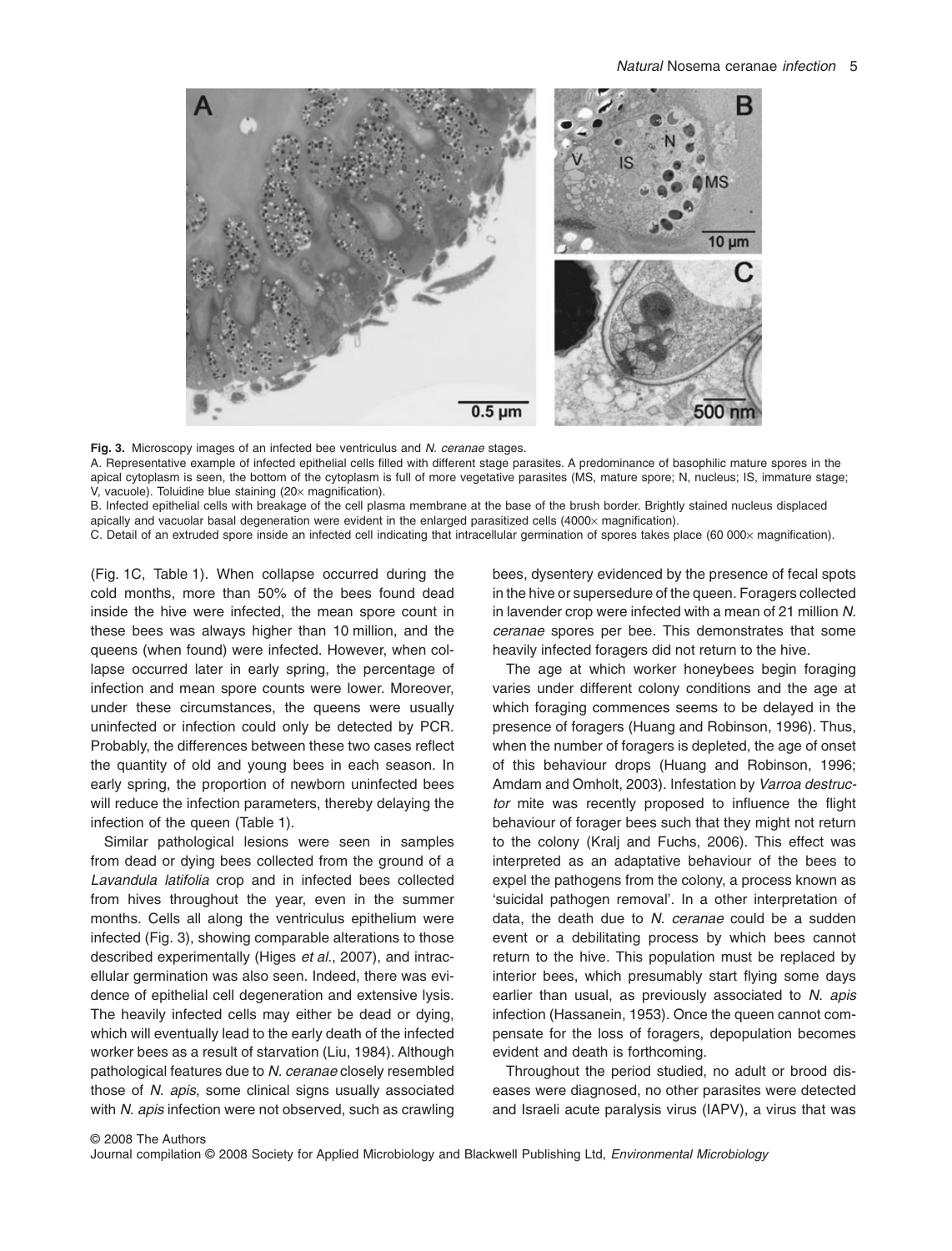

**Fig. 3.** Microscopy images of an infected bee ventriculus and *N. ceranae* stages.

A. Representative example of infected epithelial cells filled with different stage parasites. A predominance of basophilic mature spores in the apical cytoplasm is seen, the bottom of the cytoplasm is full of more vegetative parasites (MS, mature spore; N, nucleus; IS, immature stage; V, vacuole). Toluidine blue staining  $(20 \times$  magnification).

B. Infected epithelial cells with breakage of the cell plasma membrane at the base of the brush border. Brightly stained nucleus displaced apically and vacuolar basal degeneration were evident in the enlarged parasitized cells (4000 $\times$  magnification).

C. Detail of an extruded spore inside an infected cell indicating that intracellular germination of spores takes place (60 000x magnification).

(Fig. 1C, Table 1). When collapse occurred during the cold months, more than 50% of the bees found dead inside the hive were infected, the mean spore count in these bees was always higher than 10 million, and the queens (when found) were infected. However, when collapse occurred later in early spring, the percentage of infection and mean spore counts were lower. Moreover, under these circumstances, the queens were usually uninfected or infection could only be detected by PCR. Probably, the differences between these two cases reflect the quantity of old and young bees in each season. In early spring, the proportion of newborn uninfected bees will reduce the infection parameters, thereby delaying the infection of the queen (Table 1).

Similar pathological lesions were seen in samples from dead or dying bees collected from the ground of a *Lavandula latifolia* crop and in infected bees collected from hives throughout the year, even in the summer months. Cells all along the ventriculus epithelium were infected (Fig. 3), showing comparable alterations to those described experimentally (Higes *et al*., 2007), and intracellular germination was also seen. Indeed, there was evidence of epithelial cell degeneration and extensive lysis. The heavily infected cells may either be dead or dying, which will eventually lead to the early death of the infected worker bees as a result of starvation (Liu, 1984). Although pathological features due to *N. ceranae* closely resembled those of *N. apis*, some clinical signs usually associated with *N. apis* infection were not observed, such as crawling

bees, dysentery evidenced by the presence of fecal spots in the hive or supersedure of the queen. Foragers collected in lavender crop were infected with a mean of 21 million *N. ceranae* spores per bee. This demonstrates that some heavily infected foragers did not return to the hive.

The age at which worker honeybees begin foraging varies under different colony conditions and the age at which foraging commences seems to be delayed in the presence of foragers (Huang and Robinson, 1996). Thus, when the number of foragers is depleted, the age of onset of this behaviour drops (Huang and Robinson, 1996; Amdam and Omholt, 2003). Infestation by *Varroa destructor* mite was recently proposed to influence the flight behaviour of forager bees such that they might not return to the colony (Kralj and Fuchs, 2006). This effect was interpreted as an adaptative behaviour of the bees to expel the pathogens from the colony, a process known as 'suicidal pathogen removal'. In a other interpretation of data, the death due to *N. ceranae* could be a sudden event or a debilitating process by which bees cannot return to the hive. This population must be replaced by interior bees, which presumably start flying some days earlier than usual, as previously associated to *N. apis* infection (Hassanein, 1953). Once the queen cannot compensate for the loss of foragers, depopulation becomes evident and death is forthcoming.

Throughout the period studied, no adult or brood diseases were diagnosed, no other parasites were detected and Israeli acute paralysis virus (IAPV), a virus that was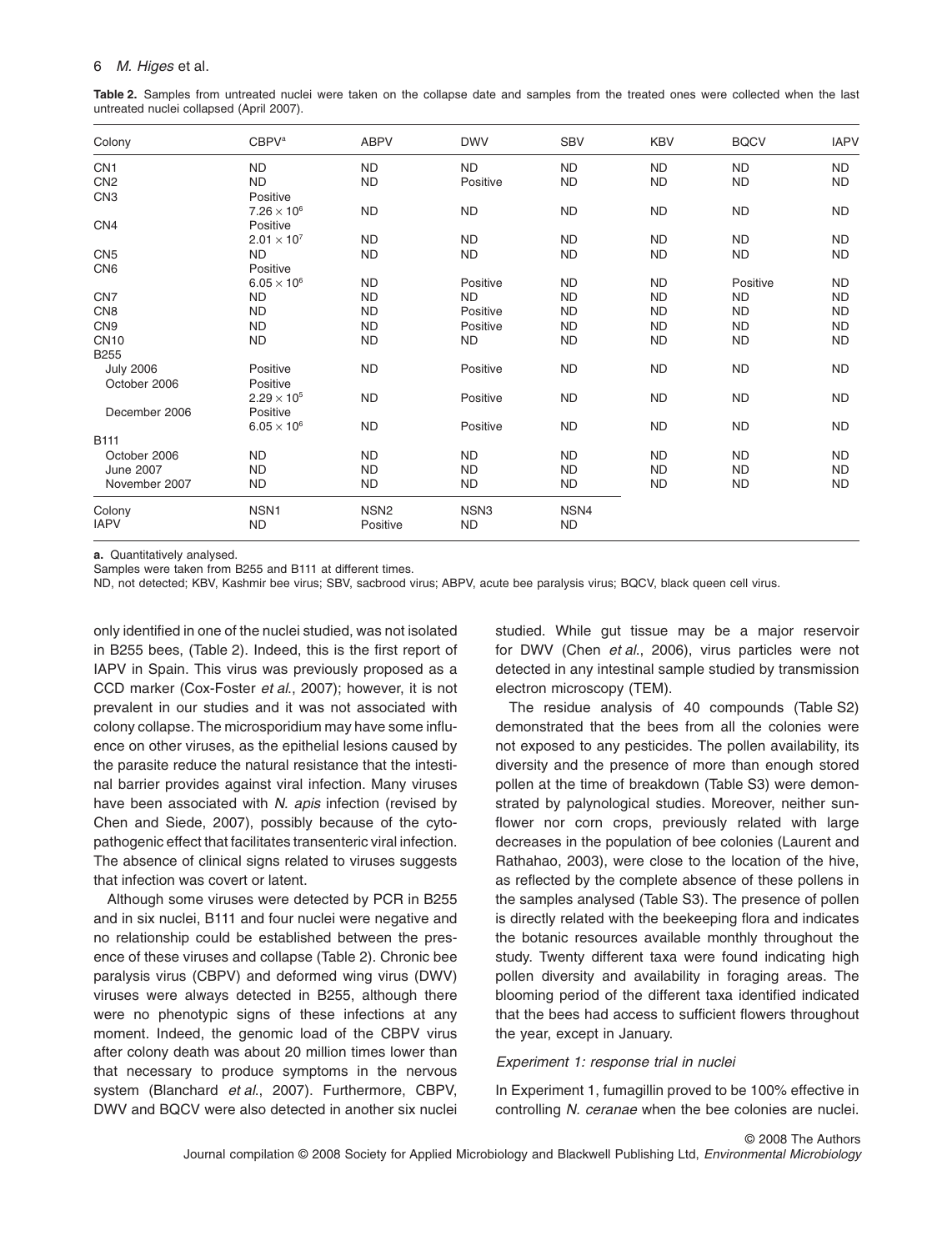#### 6 *M. Higes* et al.

**Table 2.** Samples from untreated nuclei were taken on the collapse date and samples from the treated ones were collected when the last untreated nuclei collapsed (April 2007).

| Colony           | <b>CBPV<sup>a</sup></b> | <b>ABPV</b>      | <b>DWV</b>       | <b>SBV</b> | <b>KBV</b> | <b>BQCV</b> | <b>IAPV</b> |
|------------------|-------------------------|------------------|------------------|------------|------------|-------------|-------------|
| CN <sub>1</sub>  | <b>ND</b>               | <b>ND</b>        | <b>ND</b>        | <b>ND</b>  | <b>ND</b>  | <b>ND</b>   | <b>ND</b>   |
| CN <sub>2</sub>  | <b>ND</b>               | <b>ND</b>        | Positive         | <b>ND</b>  | <b>ND</b>  | <b>ND</b>   | <b>ND</b>   |
| CN <sub>3</sub>  | Positive                |                  |                  |            |            |             |             |
|                  | $7.26 \times 10^{6}$    | <b>ND</b>        | <b>ND</b>        | <b>ND</b>  | <b>ND</b>  | <b>ND</b>   | <b>ND</b>   |
| CN <sub>4</sub>  | Positive                |                  |                  |            |            |             |             |
|                  | $2.01 \times 10^{7}$    | <b>ND</b>        | <b>ND</b>        | <b>ND</b>  | <b>ND</b>  | <b>ND</b>   | <b>ND</b>   |
| CN <sub>5</sub>  | <b>ND</b>               | <b>ND</b>        | <b>ND</b>        | <b>ND</b>  | <b>ND</b>  | <b>ND</b>   | <b>ND</b>   |
| CN <sub>6</sub>  | Positive                |                  |                  |            |            |             |             |
|                  | $6.05 \times 10^{6}$    | <b>ND</b>        | Positive         | <b>ND</b>  | <b>ND</b>  | Positive    | <b>ND</b>   |
| CN <sub>7</sub>  | <b>ND</b>               | <b>ND</b>        | <b>ND</b>        | <b>ND</b>  | <b>ND</b>  | <b>ND</b>   | <b>ND</b>   |
| CN <sub>8</sub>  | <b>ND</b>               | <b>ND</b>        | Positive         | <b>ND</b>  | <b>ND</b>  | <b>ND</b>   | <b>ND</b>   |
| CN <sub>9</sub>  | <b>ND</b>               | <b>ND</b>        | Positive         | <b>ND</b>  | <b>ND</b>  | <b>ND</b>   | <b>ND</b>   |
| <b>CN10</b>      | <b>ND</b>               | <b>ND</b>        | <b>ND</b>        | <b>ND</b>  | <b>ND</b>  | <b>ND</b>   | <b>ND</b>   |
| <b>B255</b>      |                         |                  |                  |            |            |             |             |
| <b>July 2006</b> | Positive                | <b>ND</b>        | Positive         | <b>ND</b>  | <b>ND</b>  | <b>ND</b>   | <b>ND</b>   |
| October 2006     | Positive                |                  |                  |            |            |             |             |
|                  | $2.29 \times 10^{5}$    | <b>ND</b>        | Positive         | <b>ND</b>  | <b>ND</b>  | <b>ND</b>   | <b>ND</b>   |
| December 2006    | Positive                |                  |                  |            |            |             |             |
|                  | $6.05 \times 10^{6}$    | <b>ND</b>        | Positive         | <b>ND</b>  | <b>ND</b>  | <b>ND</b>   | <b>ND</b>   |
| B111             |                         |                  |                  |            |            |             |             |
| October 2006     | <b>ND</b>               | <b>ND</b>        | <b>ND</b>        | <b>ND</b>  | <b>ND</b>  | <b>ND</b>   | <b>ND</b>   |
| <b>June 2007</b> | <b>ND</b>               | <b>ND</b>        | <b>ND</b>        | <b>ND</b>  | <b>ND</b>  | <b>ND</b>   | <b>ND</b>   |
| November 2007    | <b>ND</b>               | <b>ND</b>        | <b>ND</b>        | <b>ND</b>  | <b>ND</b>  | <b>ND</b>   | <b>ND</b>   |
| Colony           | NSN <sub>1</sub>        | NSN <sub>2</sub> | NSN <sub>3</sub> | NSN4       |            |             |             |
| <b>IAPV</b>      | <b>ND</b>               | Positive         | <b>ND</b>        | <b>ND</b>  |            |             |             |

**a.** Quantitatively analysed.

Samples were taken from B255 and B111 at different times.

ND, not detected; KBV, Kashmir bee virus; SBV, sacbrood virus; ABPV, acute bee paralysis virus; BQCV, black queen cell virus.

only identified in one of the nuclei studied, was not isolated in B255 bees, (Table 2). Indeed, this is the first report of IAPV in Spain. This virus was previously proposed as a CCD marker (Cox-Foster *et al*., 2007); however, it is not prevalent in our studies and it was not associated with colony collapse. The microsporidium may have some influence on other viruses, as the epithelial lesions caused by the parasite reduce the natural resistance that the intestinal barrier provides against viral infection. Many viruses have been associated with *N. apis* infection (revised by Chen and Siede, 2007), possibly because of the cytopathogenic effect that facilitates transenteric viral infection. The absence of clinical signs related to viruses suggests that infection was covert or latent.

Although some viruses were detected by PCR in B255 and in six nuclei, B111 and four nuclei were negative and no relationship could be established between the presence of these viruses and collapse (Table 2). Chronic bee paralysis virus (CBPV) and deformed wing virus (DWV) viruses were always detected in B255, although there were no phenotypic signs of these infections at any moment. Indeed, the genomic load of the CBPV virus after colony death was about 20 million times lower than that necessary to produce symptoms in the nervous system (Blanchard *et al*., 2007). Furthermore, CBPV, DWV and BQCV were also detected in another six nuclei

studied. While gut tissue may be a major reservoir for DWV (Chen *et al*., 2006), virus particles were not detected in any intestinal sample studied by transmission electron microscopy (TEM).

The residue analysis of 40 compounds (Table S2) demonstrated that the bees from all the colonies were not exposed to any pesticides. The pollen availability, its diversity and the presence of more than enough stored pollen at the time of breakdown (Table S3) were demonstrated by palynological studies. Moreover, neither sunflower nor corn crops, previously related with large decreases in the population of bee colonies (Laurent and Rathahao, 2003), were close to the location of the hive, as reflected by the complete absence of these pollens in the samples analysed (Table S3). The presence of pollen is directly related with the beekeeping flora and indicates the botanic resources available monthly throughout the study. Twenty different taxa were found indicating high pollen diversity and availability in foraging areas. The blooming period of the different taxa identified indicated that the bees had access to sufficient flowers throughout the year, except in January.

## *Experiment 1: response trial in nuclei*

In Experiment 1, fumagillin proved to be 100% effective in controlling *N. ceranae* when the bee colonies are nuclei.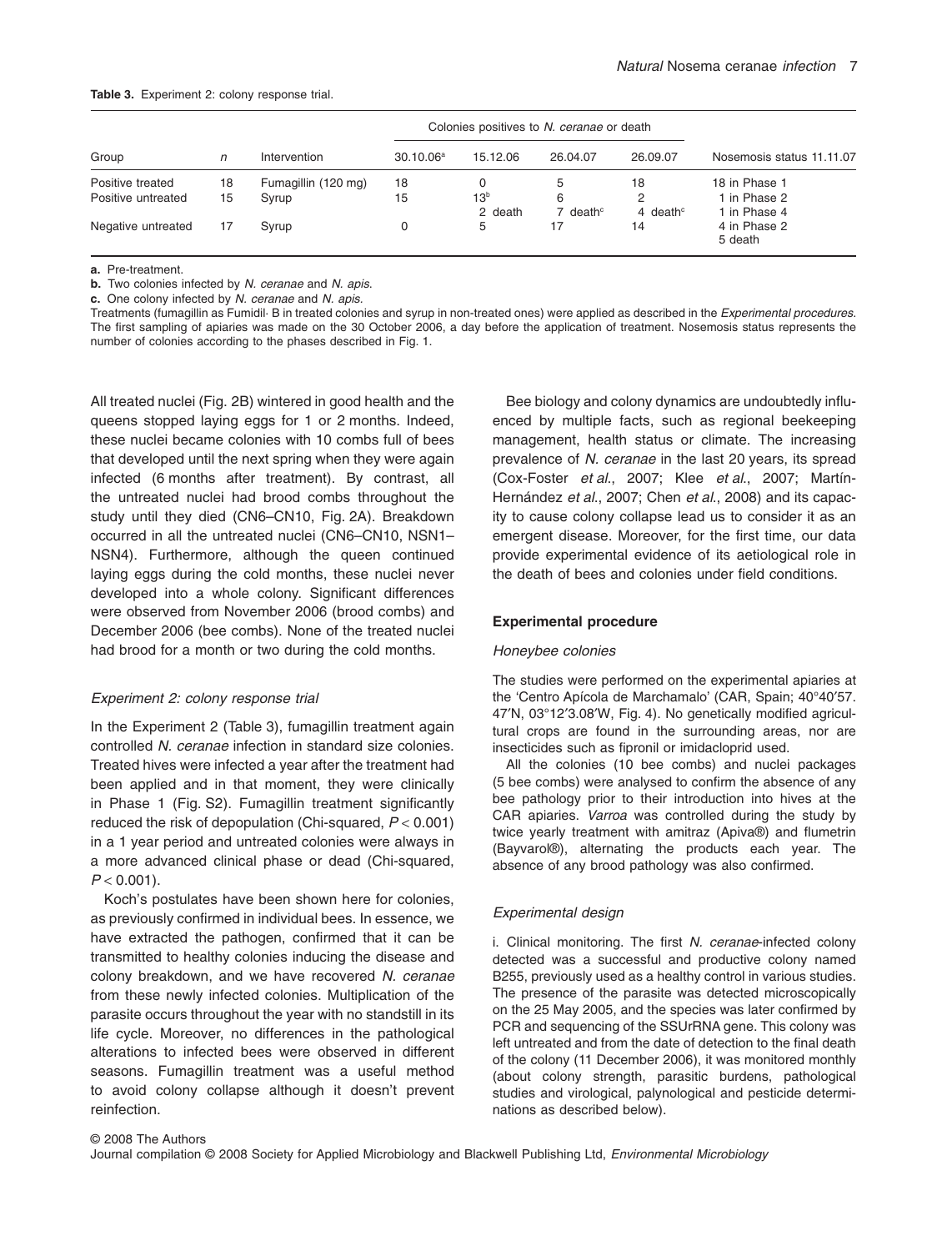#### **Table 3.** Experiment 2: colony response trial.

|                    |    | Intervention        | Colonies positives to N. ceranae or death |                            |                           |                         |                              |
|--------------------|----|---------------------|-------------------------------------------|----------------------------|---------------------------|-------------------------|------------------------------|
| Group              | n  |                     | 30.10.06 <sup>a</sup>                     | 15.12.06                   | 26.04.07                  | 26.09.07                | Nosemosis status 11.11.07    |
| Positive treated   | 18 | Fumagillin (120 mg) | 18                                        |                            | 5                         | 18                      | 18 in Phase 1                |
| Positive untreated | 15 | Syrup               | 15                                        | 13 <sup>b</sup><br>2 death | 6<br>7 death <sup>c</sup> | 2<br>4 death $\epsilon$ | 1 in Phase 2<br>1 in Phase 4 |
| Negative untreated | 17 | Syrup               | 0                                         | 5                          | 17                        | 14                      | 4 in Phase 2<br>5 death      |

**a.** Pre-treatment.

**b.** Two colonies infected by *N. ceranae* and *N. apis*.

**c.** One colony infected by *N. ceranae* and *N. apis.*

Treatments (fumagillin as Fumidil· B in treated colonies and syrup in non-treated ones) were applied as described in the *Experimental procedures*. The first sampling of apiaries was made on the 30 October 2006, a day before the application of treatment. Nosemosis status represents the number of colonies according to the phases described in Fig. 1.

All treated nuclei (Fig. 2B) wintered in good health and the queens stopped laying eggs for 1 or 2 months. Indeed, these nuclei became colonies with 10 combs full of bees that developed until the next spring when they were again infected (6 months after treatment). By contrast, all the untreated nuclei had brood combs throughout the study until they died (CN6–CN10, Fig. 2A). Breakdown occurred in all the untreated nuclei (CN6–CN10, NSN1– NSN4). Furthermore, although the queen continued laying eggs during the cold months, these nuclei never developed into a whole colony. Significant differences were observed from November 2006 (brood combs) and December 2006 (bee combs). None of the treated nuclei had brood for a month or two during the cold months.

#### *Experiment 2: colony response trial*

In the Experiment 2 (Table 3), fumagillin treatment again controlled *N. ceranae* infection in standard size colonies. Treated hives were infected a year after the treatment had been applied and in that moment, they were clinically in Phase 1 (Fig. S2). Fumagillin treatment significantly reduced the risk of depopulation (Chi-squared, *P* < 0.001) in a 1 year period and untreated colonies were always in a more advanced clinical phase or dead (Chi-squared,  $P < 0.001$ ).

Koch's postulates have been shown here for colonies, as previously confirmed in individual bees. In essence, we have extracted the pathogen, confirmed that it can be transmitted to healthy colonies inducing the disease and colony breakdown, and we have recovered *N. ceranae* from these newly infected colonies. Multiplication of the parasite occurs throughout the year with no standstill in its life cycle. Moreover, no differences in the pathological alterations to infected bees were observed in different seasons. Fumagillin treatment was a useful method to avoid colony collapse although it doesn't prevent reinfection.

Bee biology and colony dynamics are undoubtedly influenced by multiple facts, such as regional beekeeping management, health status or climate. The increasing prevalence of *N. ceranae* in the last 20 years, its spread (Cox-Foster *et al*., 2007; Klee *et al*., 2007; Martín-Hernández *et al*., 2007; Chen *et al*., 2008) and its capacity to cause colony collapse lead us to consider it as an emergent disease. Moreover, for the first time, our data provide experimental evidence of its aetiological role in the death of bees and colonies under field conditions.

## **Experimental procedure**

#### *Honeybee colonies*

The studies were performed on the experimental apiaries at the 'Centro Apícola de Marchamalo' (CAR, Spain; 40°40′57. 47′N, 03°12′3.08′W, Fig. 4). No genetically modified agricultural crops are found in the surrounding areas, nor are insecticides such as fipronil or imidacloprid used.

All the colonies (10 bee combs) and nuclei packages (5 bee combs) were analysed to confirm the absence of any bee pathology prior to their introduction into hives at the CAR apiaries. *Varroa* was controlled during the study by twice yearly treatment with amitraz (Apiva®) and flumetrin (Bayvarol®), alternating the products each year. The absence of any brood pathology was also confirmed.

# *Experimental design*

i. Clinical monitoring. The first *N. ceranae*-infected colony detected was a successful and productive colony named B255, previously used as a healthy control in various studies. The presence of the parasite was detected microscopically on the 25 May 2005, and the species was later confirmed by PCR and sequencing of the SSUrRNA gene. This colony was left untreated and from the date of detection to the final death of the colony (11 December 2006), it was monitored monthly (about colony strength, parasitic burdens, pathological studies and virological, palynological and pesticide determinations as described below).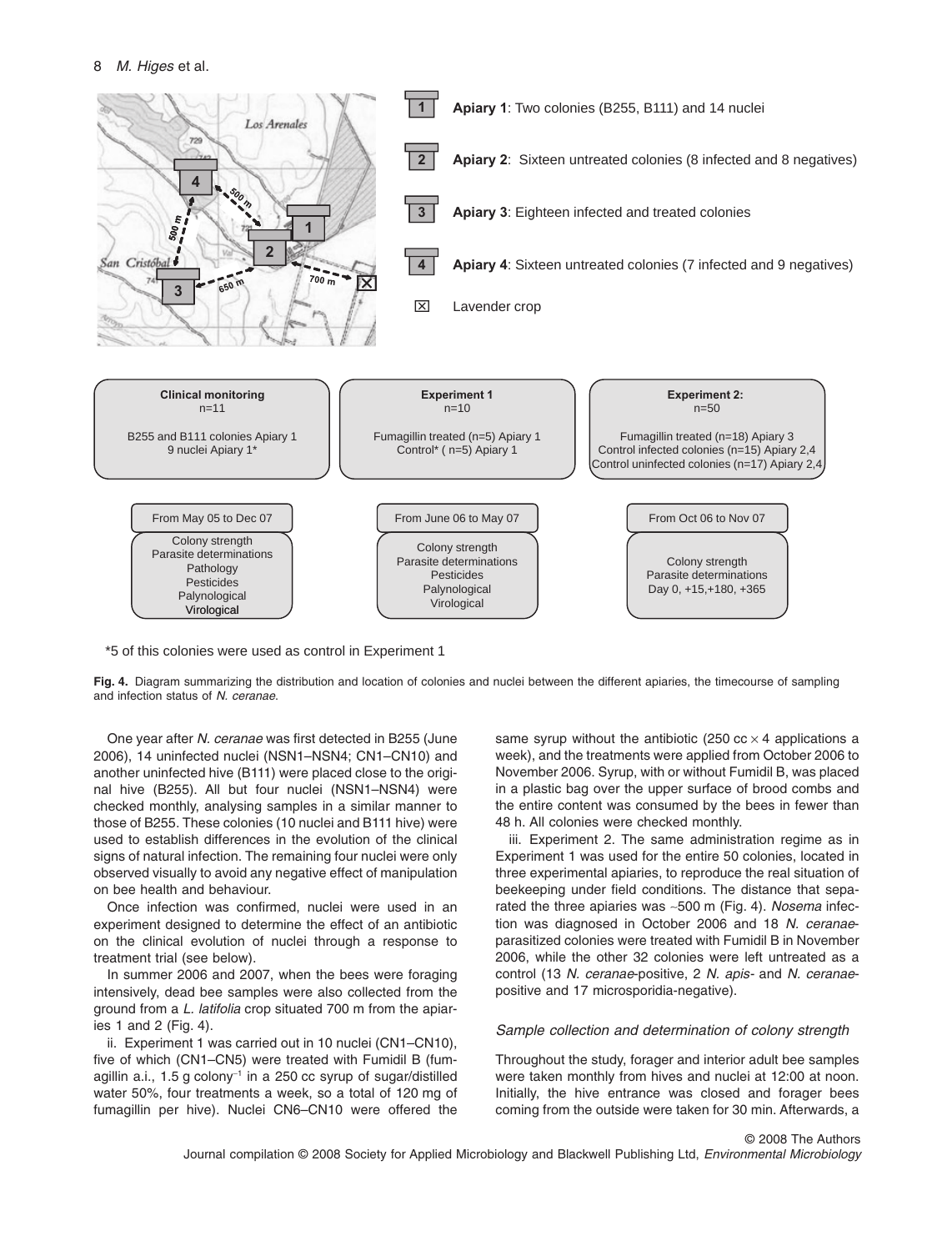

\*5 of this colonies were used as control in Experiment 1

**Fig. 4.** Diagram summarizing the distribution and location of colonies and nuclei between the different apiaries, the timecourse of sampling and infection status of *N. ceranae*.

One year after *N. ceranae* was first detected in B255 (June 2006), 14 uninfected nuclei (NSN1–NSN4; CN1–CN10) and another uninfected hive (B111) were placed close to the original hive (B255). All but four nuclei (NSN1–NSN4) were checked monthly, analysing samples in a similar manner to those of B255. These colonies (10 nuclei and B111 hive) were used to establish differences in the evolution of the clinical signs of natural infection. The remaining four nuclei were only observed visually to avoid any negative effect of manipulation on bee health and behaviour.

Once infection was confirmed, nuclei were used in an experiment designed to determine the effect of an antibiotic on the clinical evolution of nuclei through a response to treatment trial (see below).

In summer 2006 and 2007, when the bees were foraging intensively, dead bee samples were also collected from the ground from a *L. latifolia* crop situated 700 m from the apiaries 1 and 2 (Fig. 4).

ii. Experiment 1 was carried out in 10 nuclei (CN1–CN10), five of which (CN1–CN5) were treated with Fumidil B (fumagillin a.i.,  $1.5$  g colony<sup>-1</sup> in a 250 cc syrup of sugar/distilled water 50%, four treatments a week, so a total of 120 mg of fumagillin per hive). Nuclei CN6–CN10 were offered the

same syrup without the antibiotic (250 cc  $\times$  4 applications a week), and the treatments were applied from October 2006 to November 2006. Syrup, with or without Fumidil B, was placed in a plastic bag over the upper surface of brood combs and the entire content was consumed by the bees in fewer than 48 h. All colonies were checked monthly.

iii. Experiment 2. The same administration regime as in Experiment 1 was used for the entire 50 colonies, located in three experimental apiaries, to reproduce the real situation of beekeeping under field conditions. The distance that separated the three apiaries was ~500 m (Fig. 4). *Nosema* infection was diagnosed in October 2006 and 18 *N. ceranae*parasitized colonies were treated with Fumidil B in November 2006, while the other 32 colonies were left untreated as a control (13 *N. ceranae*-positive, 2 *N. apis-* and *N. ceranae*positive and 17 microsporidia-negative).

## *Sample collection and determination of colony strength*

Throughout the study, forager and interior adult bee samples were taken monthly from hives and nuclei at 12:00 at noon. Initially, the hive entrance was closed and forager bees coming from the outside were taken for 30 min. Afterwards, a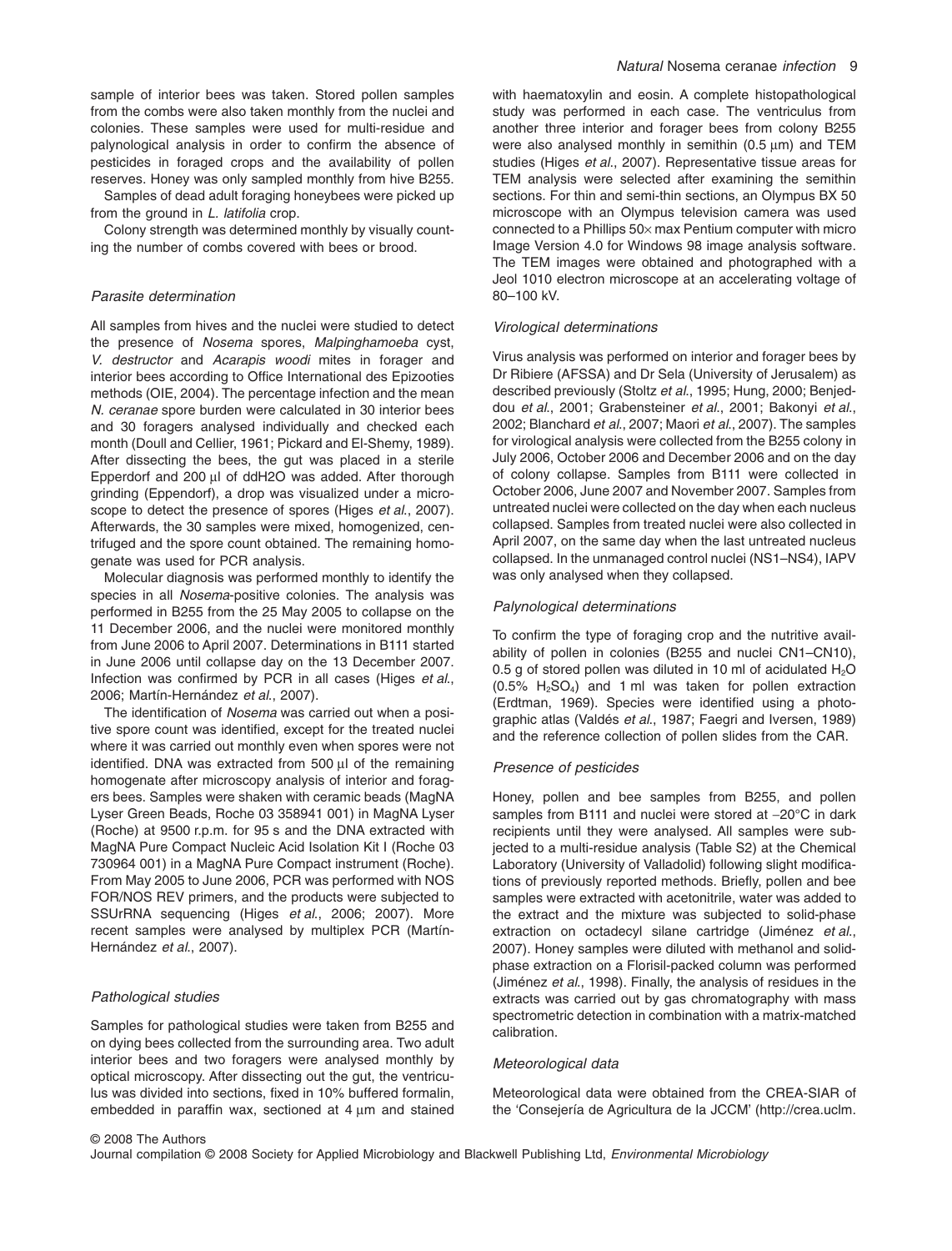sample of interior bees was taken. Stored pollen samples from the combs were also taken monthly from the nuclei and colonies. These samples were used for multi-residue and palynological analysis in order to confirm the absence of pesticides in foraged crops and the availability of pollen reserves. Honey was only sampled monthly from hive B255.

Samples of dead adult foraging honeybees were picked up from the ground in *L. latifolia* crop.

Colony strength was determined monthly by visually counting the number of combs covered with bees or brood.

# *Parasite determination*

All samples from hives and the nuclei were studied to detect the presence of *Nosema* spores, *Malpinghamoeba* cyst, *V. destructor* and *Acarapis woodi* mites in forager and interior bees according to Office International des Epizooties methods (OIE, 2004). The percentage infection and the mean *N. ceranae* spore burden were calculated in 30 interior bees and 30 foragers analysed individually and checked each month (Doull and Cellier, 1961; Pickard and El-Shemy, 1989). After dissecting the bees, the gut was placed in a sterile Epperdorf and 200 µl of ddH2O was added. After thorough grinding (Eppendorf), a drop was visualized under a microscope to detect the presence of spores (Higes *et al*., 2007). Afterwards, the 30 samples were mixed, homogenized, centrifuged and the spore count obtained. The remaining homogenate was used for PCR analysis.

Molecular diagnosis was performed monthly to identify the species in all *Nosema*-positive colonies. The analysis was performed in B255 from the 25 May 2005 to collapse on the 11 December 2006, and the nuclei were monitored monthly from June 2006 to April 2007. Determinations in B111 started in June 2006 until collapse day on the 13 December 2007. Infection was confirmed by PCR in all cases (Higes *et al*., 2006; Martín-Hernández *et al*., 2007).

The identification of *Nosema* was carried out when a positive spore count was identified, except for the treated nuclei where it was carried out monthly even when spores were not identified. DNA was extracted from 500  $\mu$ l of the remaining homogenate after microscopy analysis of interior and foragers bees. Samples were shaken with ceramic beads (MagNA Lyser Green Beads, Roche 03 358941 001) in MagNA Lyser (Roche) at 9500 r.p.m. for 95 s and the DNA extracted with MagNA Pure Compact Nucleic Acid Isolation Kit I (Roche 03 730964 001) in a MagNA Pure Compact instrument (Roche). From May 2005 to June 2006, PCR was performed with NOS FOR/NOS REV primers, and the products were subjected to SSUrRNA sequencing (Higes *et al*., 2006; 2007). More recent samples were analysed by multiplex PCR (Martín-Hernández *et al*., 2007).

## *Pathological studies*

Samples for pathological studies were taken from B255 and on dying bees collected from the surrounding area. Two adult interior bees and two foragers were analysed monthly by optical microscopy. After dissecting out the gut, the ventriculus was divided into sections, fixed in 10% buffered formalin, embedded in paraffin wax, sectioned at  $4 \mu m$  and stained with haematoxylin and eosin. A complete histopathological study was performed in each case. The ventriculus from another three interior and forager bees from colony B255 were also analysed monthly in semithin  $(0.5 \mu m)$  and TEM studies (Higes *et al*., 2007). Representative tissue areas for TEM analysis were selected after examining the semithin sections. For thin and semi-thin sections, an Olympus BX 50 microscope with an Olympus television camera was used connected to a Phillips  $50 \times$  max Pentium computer with micro Image Version 4.0 for Windows 98 image analysis software. The TEM images were obtained and photographed with a Jeol 1010 electron microscope at an accelerating voltage of 80–100 kV.

## *Virological determinations*

Virus analysis was performed on interior and forager bees by Dr Ribiere (AFSSA) and Dr Sela (University of Jerusalem) as described previously (Stoltz *et al*., 1995; Hung, 2000; Benjeddou *et al*., 2001; Grabensteiner *et al*., 2001; Bakonyi *et al*., 2002; Blanchard *et al*., 2007; Maori *et al*., 2007). The samples for virological analysis were collected from the B255 colony in July 2006, October 2006 and December 2006 and on the day of colony collapse. Samples from B111 were collected in October 2006, June 2007 and November 2007. Samples from untreated nuclei were collected on the day when each nucleus collapsed. Samples from treated nuclei were also collected in April 2007, on the same day when the last untreated nucleus collapsed. In the unmanaged control nuclei (NS1–NS4), IAPV was only analysed when they collapsed.

#### *Palynological determinations*

To confirm the type of foraging crop and the nutritive availability of pollen in colonies (B255 and nuclei CN1–CN10), 0.5 g of stored pollen was diluted in 10 ml of acidulated  $H_2O$  $(0.5\% \text{ H}_2\text{SO}_4)$  and 1 ml was taken for pollen extraction (Erdtman, 1969). Species were identified using a photographic atlas (Valdés *et al*., 1987; Faegri and Iversen, 1989) and the reference collection of pollen slides from the CAR.

## *Presence of pesticides*

Honey, pollen and bee samples from B255, and pollen samples from B111 and nuclei were stored at -20°C in dark recipients until they were analysed. All samples were subjected to a multi-residue analysis (Table S2) at the Chemical Laboratory (University of Valladolid) following slight modifications of previously reported methods. Briefly, pollen and bee samples were extracted with acetonitrile, water was added to the extract and the mixture was subjected to solid-phase extraction on octadecyl silane cartridge (Jiménez *et al*., 2007). Honey samples were diluted with methanol and solidphase extraction on a Florisil-packed column was performed (Jiménez *et al*., 1998). Finally, the analysis of residues in the extracts was carried out by gas chromatography with mass spectrometric detection in combination with a matrix-matched calibration.

#### *Meteorological data*

Meteorological data were obtained from the CREA-SIAR of the 'Consejería de Agricultura de la JCCM' [\(http://crea.uclm.](http://crea.uclm.�2008TheAuthorsJournalcompilation�2008SocietyforAppliedMicrobiologyandBlackwellPublishingLtd)

[Journal compilation © 2008 Society for Applied Microbiology and Blackwell Publishing Ltd,](http://crea.uclm.�2008TheAuthorsJournalcompilation�2008SocietyforAppliedMicrobiologyandBlackwellPublishingLtd) *Environmental Microbiology*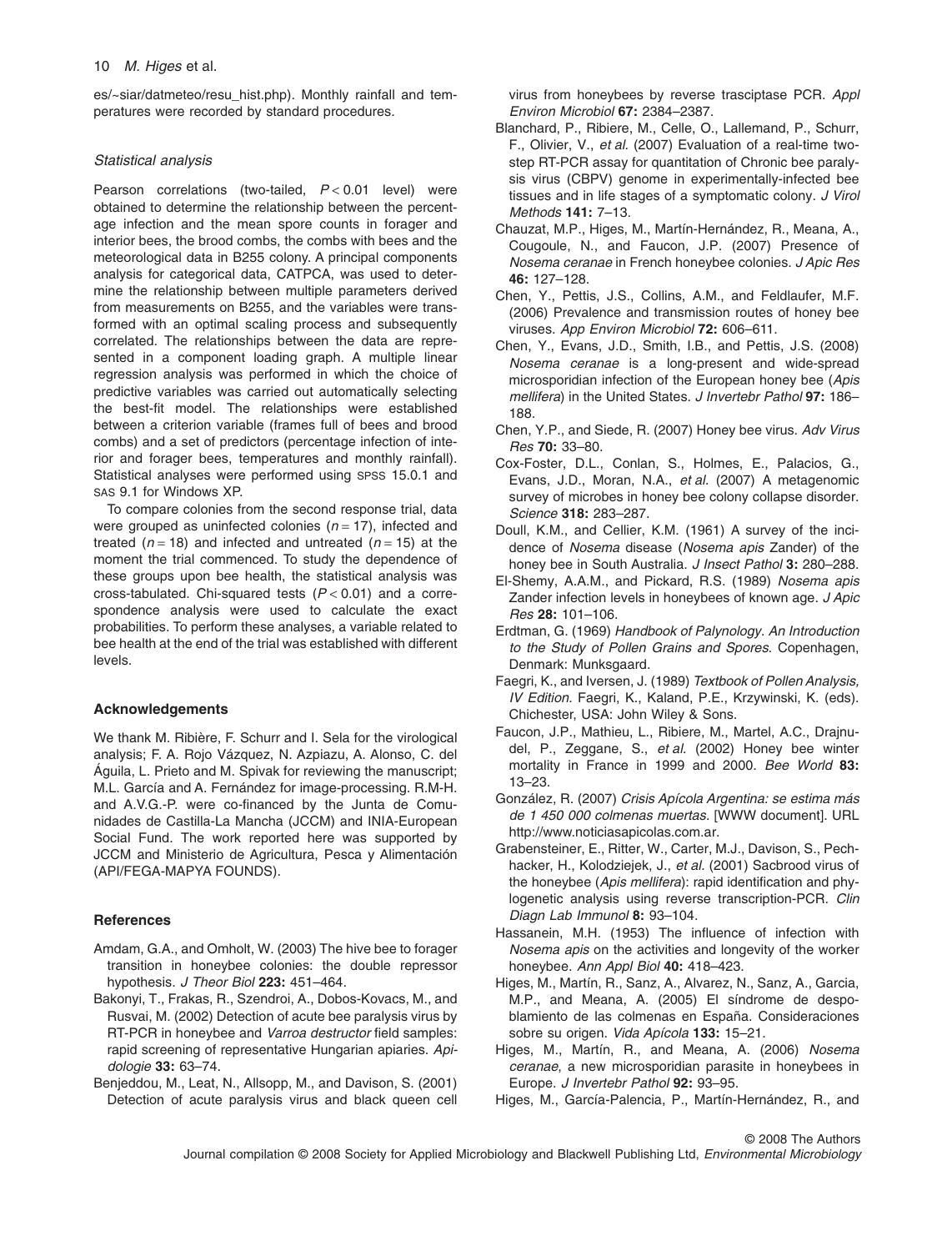es/~siar/datmeteo/resu\_hist.php). Monthly rainfall and temperatures were recorded by standard procedures.

# *Statistical analysis*

Pearson correlations (two-tailed, *P* < 0.01 level) were obtained to determine the relationship between the percentage infection and the mean spore counts in forager and interior bees, the brood combs, the combs with bees and the meteorological data in B255 colony. A principal components analysis for categorical data, CATPCA, was used to determine the relationship between multiple parameters derived from measurements on B255, and the variables were transformed with an optimal scaling process and subsequently correlated. The relationships between the data are represented in a component loading graph. A multiple linear regression analysis was performed in which the choice of predictive variables was carried out automatically selecting the best-fit model. The relationships were established between a criterion variable (frames full of bees and brood combs) and a set of predictors (percentage infection of interior and forager bees, temperatures and monthly rainfall). Statistical analyses were performed using SPSS 15.0.1 and SAS 9.1 for Windows XP.

To compare colonies from the second response trial, data were grouped as uninfected colonies  $(n = 17)$ , infected and treated  $(n = 18)$  and infected and untreated  $(n = 15)$  at the moment the trial commenced. To study the dependence of these groups upon bee health, the statistical analysis was cross-tabulated. Chi-squared tests (*P* < 0.01) and a correspondence analysis were used to calculate the exact probabilities. To perform these analyses, a variable related to bee health at the end of the trial was established with different levels.

# **Acknowledgements**

We thank M. Ribière, F. Schurr and I. Sela for the virological analysis; F. A. Rojo Vázquez, N. Azpiazu, A. Alonso, C. del Águila, L. Prieto and M. Spivak for reviewing the manuscript; M.L. García and A. Fernández for image-processing. R.M-H. and A.V.G.-P. were co-financed by the Junta de Comunidades de Castilla-La Mancha (JCCM) and INIA-European Social Fund. The work reported here was supported by JCCM and Ministerio de Agricultura, Pesca y Alimentación (API/FEGA-MAPYA FOUNDS).

# **References**

- Amdam, G.A., and Omholt, W. (2003) The hive bee to forager transition in honeybee colonies: the double repressor hypothesis. *J Theor Biol* **223:** 451–464.
- Bakonyi, T., Frakas, R., Szendroi, A., Dobos-Kovacs, M., and Rusvai, M. (2002) Detection of acute bee paralysis virus by RT-PCR in honeybee and *Varroa destructor* field samples: rapid screening of representative Hungarian apiaries. *Apidologie* **33:** 63–74.
- Benjeddou, M., Leat, N., Allsopp, M., and Davison, S. (2001) Detection of acute paralysis virus and black queen cell

virus from honeybees by reverse trasciptase PCR. *Appl Environ Microbiol* **67:** 2384–2387.

- Blanchard, P., Ribiere, M., Celle, O., Lallemand, P., Schurr, F., Olivier, V., *et al.* (2007) Evaluation of a real-time twostep RT-PCR assay for quantitation of Chronic bee paralysis virus (CBPV) genome in experimentally-infected bee tissues and in life stages of a symptomatic colony. *J Virol Methods* **141:** 7–13.
- Chauzat, M.P., Higes, M., Martín-Hernández, R., Meana, A., Cougoule, N., and Faucon, J.P. (2007) Presence of *Nosema ceranae* in French honeybee colonies. *J Apic Res* **46:** 127–128.
- Chen, Y., Pettis, J.S., Collins, A.M., and Feldlaufer, M.F. (2006) Prevalence and transmission routes of honey bee viruses. *App Environ Microbiol* **72:** 606–611.
- Chen, Y., Evans, J.D., Smith, I.B., and Pettis, J.S. (2008) *Nosema ceranae* is a long-present and wide-spread microsporidian infection of the European honey bee (*Apis mellifera*) in the United States. *J Invertebr Pathol* **97:** 186– 188.
- Chen, Y.P., and Siede, R. (2007) Honey bee virus. *Adv Virus Res* **70:** 33–80.
- Cox-Foster, D.L., Conlan, S., Holmes, E., Palacios, G., Evans, J.D., Moran, N.A., *et al.* (2007) A metagenomic survey of microbes in honey bee colony collapse disorder. *Science* **318:** 283–287.
- Doull, K.M., and Cellier, K.M. (1961) A survey of the incidence of *Nosema* disease (*Nosema apis* Zander) of the honey bee in South Australia. *J Insect Pathol* **3:** 280–288.
- El-Shemy, A.A.M., and Pickard, R.S. (1989) *Nosema apis* Zander infection levels in honeybees of known age. *J Apic Res* **28:** 101–106.
- Erdtman, G. (1969) *Handbook of Palynology. An Introduction to the Study of Pollen Grains and Spores*. Copenhagen, Denmark: Munksgaard.
- Faegri, K., and Iversen, J. (1989) *Textbook of Pollen Analysis, IV Edition.* Faegri, K., Kaland, P.E., Krzywinski, K. (eds). Chichester, USA: John Wiley & Sons.
- Faucon, J.P., Mathieu, L., Ribiere, M., Martel, A.C., Drajnudel, P., Zeggane, S., *et al.* (2002) Honey bee winter mortality in France in 1999 and 2000. *Bee World* **83:** 13–23.
- González, R. (2007) *Crisis Apícola Argentina: se estima más de 1 450 000 colmenas muertas.* [WWW document]. URL [http://www.noticiasapicolas.com.ar.](http://www.noticiasapicolas.com.ar)
- Grabensteiner, E., Ritter, W., Carter, M.J., Davison, S., Pechhacker, H., Kolodziejek, J., *et al.* (2001) Sacbrood virus of the honeybee (*Apis mellifera*): rapid identification and phylogenetic analysis using reverse transcription-PCR. *Clin Diagn Lab Immunol* **8:** 93–104.
- Hassanein, M.H. (1953) The influence of infection with *Nosema apis* on the activities and longevity of the worker honeybee. *Ann Appl Biol* **40:** 418–423.
- Higes, M., Martín, R., Sanz, A., Alvarez, N., Sanz, A., Garcia, M.P., and Meana, A. (2005) El síndrome de despoblamiento de las colmenas en España. Consideraciones sobre su origen. *Vida Apícola* **133:** 15–21.
- Higes, M., Martín, R., and Meana, A. (2006) *Nosema ceranae*, a new microsporidian parasite in honeybees in Europe. *J Invertebr Pathol* **92:** 93–95.
- Higes, M., García-Palencia, P., Martín-Hernández, R., and

© 2008 The Authors